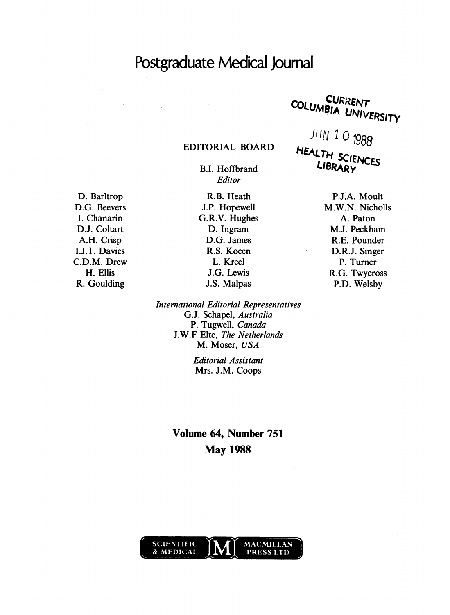# Postgraduate Medical Journal

# EDITORIAL BOARD

# B.I. Hoffbrand Editor

D. Barltrop D.G. Beevers I. Chanarin D.J. Coltart A.H. Crisp I.J.T. Davies C.D.M. Drew H. Ellis R. Goulding

R.B. Heath J.P. Hopewell G.R.V. Hughes D. Ingram D.G. James R.S. Kocen L. Kreel J.G. Lewis J.S. Malpas

International Editorial Representatives G.J. Schapel, Australia P. Tugwell, Canada J.W.F Elte, The Netherlands M. Moser, USA

> Editorial Assistant Mrs. J.M. Coops

# Volume 64, Number 751 May 1988



# COLUMBIA .... NT COLUMNIASITY

# <sup>J</sup>'IN <sup>1</sup> 0 <sup>1988</sup> HEALTH SCIENCES LIBRARY

P.J.A. Moult M.W.N. Nicholls A. Paton M.J. Peckham R.E. Pounder D.R.J. Singer P. Turner R.G. Twycross P.D. Welsby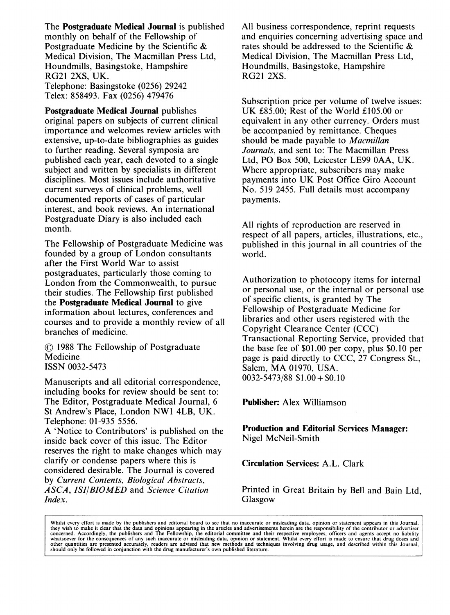The Postgraduate Medical Journal is published monthly on behalf of the Fellowship of Postgraduate Medicine by the Scientific & Medical Division, The Macmillan Press Ltd, Houndmills, Basingstoke, Hampshire RG21 2XS, UK. Telephone: Basingstoke (0256) 29242

Telex: 858493. Fax (0256) 479476

Postgraduate Medical Journal publishes original papers on subjects of current clinical importance and welcomes review articles with extensive, up-to-date bibliographies as guides to further reading. Several symposia are published each year, each devoted to a single subject and written by specialists in different disciplines. Most issues include authoritative current surveys of clinical problems, well documented reports of cases of particular interest, and book reviews. An international Postgraduate Diary is also included each month.

The Fellowship of Postgraduate Medicine was founded by a group of London consultants after the First World War to assist postgraduates, particularly those coming to London from the Commonwealth, to pursue their studies. The Fellowship first published the Postgraduate Medical Journal to give information about lectures, conferences and courses and to provide a monthly review of all branches of medicine.

© <sup>1988</sup> The Fellowship of Postgraduate Medicine ISSN 0032-5473

Manuscripts and all editorial correspondence, including books for review should be sent to: The Editor, Postgraduate Medical Journal, 6 St Andrew's Place, London NWl 4LB, UK. Telephone: 01-935 5556.

A 'Notice to Contributors' is published on the inside back cover of this issue. The Editor reserves the right to make changes which may clarify or condense papers where this is considered desirable. The Journal is covered by Current Contents, Biological Abstracts, ASCA, ISI/BIOMED and Science Citation Index.

All business correspondence, reprint requests and enquiries concerning advertising space and rates should be addressed to the Scientific & Medical Division, The Macmillan Press Ltd, Houndmills, Basingstoke, Hampshire RG21 2XS.

Subscription price per volume of twelve issues: UK £85.00; Rest of the World £105.00 or equivalent in any other currency. Orders must be accompanied by remittance. Cheques should be made payable to Macmillan Journals, and sent to: The Macmillan Press Ltd, PO Box 500, Leicester LE99 OAA, UK. Where appropriate, subscribers may make payments into UK Post Office Giro Account No. 519 2455. Full details must accompany payments.

All rights of reproduction are reserved in respect of all papers, articles, illustrations, etc., published in this journal in all countries of the world.

Authorization to photocopy items for internal or personal use, or the internal or personal use of specific clients, is granted by The Fellowship of Postgraduate Medicine for libraries and other users registered with the Copyright Clearance Center (CCC) Transactional Reporting Service, provided that the base fee of \$01.00 per copy, plus \$0.10 per page is paid directly to CCC, 27 Congress St., Salem, MA 01970, USA.  $0032 - 5473/88$  \$1.00 + \$0.10

Publisher: Alex Williamson

Production and Editorial Services Manager: Nigel McNeil-Smith

Circulation Services: A.L. Clark

Printed in Great Britain by Bell and Bain Ltd, Glasgow

Whilst every effort is made by the publishers and editorial board to see that no inaccurate or misleading data, opinion or statement appears in this Journal, they wish to make it clear that the data and opinions appearing should only be followed in conjunction with the drug manufacturer's own published literature.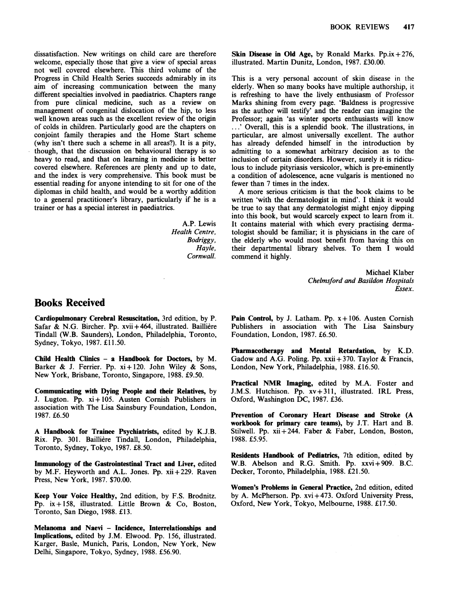dissatisfaction. New writings on child care are therefore welcome, especially those that give a view of special areas not well covered elsewhere. This third volume of the Progress in Child Health Series succeeds admirably in its aim of increasing communication between the many different specialties involved in paediatrics. Chapters range from pure clinical medicine, such as a review on management of congenital dislocation of the hip, to less well known areas such as the excellent review of the origin of colds in children. Particularly good are the chapters on conjoint family therapies and the Home Start scheme (why isn't there such a scheme in all areas?). It is a pity, though, that the discussion on behavioural therapy is so heavy to read, and that on learning in medicine is better covered elsewhere. References are plenty and up to date, and the index is very comprehensive. This book must be essential reading for anyone intending to sit for one of the diplomas in child health, and would be a worthy addition to a general practitioner's library, particularly if he is a trainer or has a special interest in paediatrics.

> A.P. Lewis Health Centre, Bodriggy, Hayle, Cornwall.

Skin Disease in Old Age, by Ronald Marks.  $Pp_ix + 276$ , illustrated. Martin Dunitz, London, 1987. £30.00.

This is a very personal account of skin disease in the elderly. When so many books have multiple authorship, it is refreshing to have the lively enthusiasm of Professor Marks shining from every page. 'Baldness is progressive as the author will testify' and the reader can imagine the Professor; again 'as winter sports enthusiasts will know ...' Overall, this is a splendid book. The illustrations, in particular, are almost universally excellent. The author has already defended himself in the introduction by admitting to a somewhat arbitrary decision as to the inclusion of certain disorders. However, surely it is ridiculous to include pityriasis versicolor, which is pre-eminently a condition of adolescence, acne vulgaris is mentioned no fewer than 7 times in the index.

A more serious criticism is that the book claims to be written 'with the dermatologist in mind'. <sup>I</sup> think it would be true to say that any dermatologist might enjoy dipping into this book, but would scarcely expect to learn from it. It contains material with which every practising dermatologist should be familiar; it is physicians in the care of the elderly who would most benefit from having this on their departmental library shelves. To them <sup>I</sup> would commend it highly.

> Michael Klaber Chelmsford and Basildon Hospitals Essex.

Pain Control, by J. Latham. Pp. x + 106. Austen Cornish Publishers in association with The Lisa Sainsbury Foundation, London, 1987. £6.50.

Pharmacotherapy and Mental Retardation, by K.D. Gadow and A.G. Poling. Pp.  $xxi + 370$ . Taylor & Francis, London, New York, Philadelphia, 1988. £16.50.

Practical NMR Imaging, edited by M.A. Foster and J.M.S. Hutchison. Pp. xv+ 311, illustrated. IRL Press, Oxford, Washington DC, 1987. £36.

Prevention of Coronary Heart Disease and Stroke (A workbook for primary care teams), by J.T. Hart and B. Stilwell. Pp. xii+244. Faber & Faber, London, Boston, 1988. £5.95.

Residents Handbook of Pediatrics, 7th edition, edited by W.B. Abelson and R.G. Smith. Pp. xxvi+909. B.C. Decker, Toronto, Philadelphia, 1988. £21.50.

Women's Problems in General Practice, 2nd edition, edited by A. McPherson. Pp. xvi+473. Oxford University Press, Oxford, New York, Tokyo, Melbourne, 1988. £17.50.

# Books Received

Cardiopulmonary Cerebral Resuscitation, 3rd edition, by P. Safar & N.G. Bircher. Pp. xvii + 464, illustrated. Baillière Tindall (W.B. Saunders), London, Philadelphia, Toronto, Sydney, Tokyo, 1987. £11.50.

Child Health Clinics - a Handbook for Doctors, by M. Barker & J. Ferrier. Pp.  $xi + 120$ . John Wiley & Sons, New York, Brisbane, Toronto, Singapore, 1988. £9.50.

Communicating with Dying People and their Relatives, by J. Lugton. Pp. xi+105. Austen Cornish Publishers in association with The Lisa Sainsbury Foundation, London, 1987. £6.50

A Handbook for Trainee Psychiatrists, edited by K.J.B. Rix. Pp. 301. Baillière Tindall, London, Philadelphia, Toronto, Sydney, Tokyo, 1987. £8.50.

Immunology of the Gastrointestinal Tract and Liver, edited by M.F. Heyworth and A.L. Jones. Pp. xii+229. Raven Press, New York, 1987. \$70.00.

Keep Your Voice Healthy, 2nd edition, by F.S. Brodnitz. Pp. ix + 158, illustrated. Little Brown & Co, Boston, Toronto, San Diego, 1988. £13.

Melanoma and Naevi - Incidence, Interrelationships and Implications, edited by J.M. Elwood. Pp. 156, illustrated. Karger, Basle, Munich, Paris, London, New York, New Delhi, Singapore, Tokyo, Sydney, 1988. £56.90.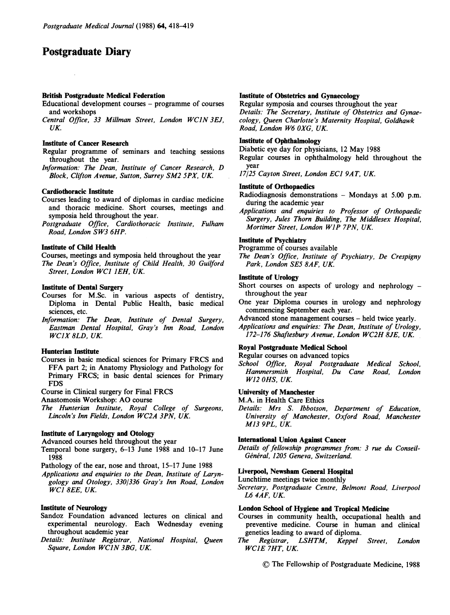# Postgraduate Diary

# British Postgraduate Medical Federation

- Educational development courses programme of courses and workshops
- Central Office, <sup>33</sup> Millman Street, London WCIN 3EJ, UK.

## Institute of Cancer Research

Regular programme of seminars and teaching sessions throughout the year.

Information: The Dean, Institute of Cancer Research, D Block, Clifton Avenue, Sutton, Surrey SM2 5PX, UK.

# Cardiothoracic Institute

- Courses leading to award of diplomas in cardiac medicine and thoracic medicine. Short courses, meetings and symposia held throughout the year.
- Postgraduate Office, Cardiothoracic Institute, Fulham Road, London SW3 6HP.

# Institute of Child Health

Courses, meetings and symposia held throughout the year The Dean's Office, Institute of Child Health, 30 Guilford Street, London WCJ IEH, UK.

# Institute of Dental Surgery

- Courses for M.Sc. in various aspects of dentistry, Diploma in Dental Public Health, basic medical sciences, etc.
- Information: The Dean, Institute of Dental Surgery, Eastman Dental Hospital, Gray's Inn Road, London WCIX 8LD, UK.

# Hunterian Institute

Courses in basic medical sciences for Primary FRCS and FFA part 2; in Anatomy Physiology and Pathology for Primary FRCS; in basic dental sciences for Primary FDS

Course in Clinical surgery for Final FRCS

Anastomosis Workshop: AO course

The Hunterian Institute, Royal College of Surgeons, Lincoln's Inn Fields, London WC2A 3PN, UK.

# Institute of Laryngology and Otology

Advanced courses held throughout the year

Temporal bone surgery, 6-13 June 1988 and 10-17 June 1988

Pathology of the ear, nose and throat, 15-17 June 1988

Applications and enquiries to the Dean, Institute of Laryngology and Otology, 330/336 Gray's Inn Road, London WC] 8EE, UK.

# Institute of Neurology

- Sandoz Foundation advanced lectures on clinical and experimental neurology. Each Wednesday evening throughout academic year
- Details: Institute Registrar, National Hospital, Queen Square, London WCIN 3BG, UK.

# Institute of Obstetrics and Gynaecology

Regular symposia and courses throughout the year Details: The Secretary, Institute of Obstetrics and Gynaecology, Queen Charlotte's Maternity Hospital, Goldhawk Road, London W6 OXG, UK.

# Institute of Ophthalmology

Diabetic eye day for physicians, <sup>12</sup> May 1988

Regular courses in ophthalmology held throughout the year

17/25 Cayton Street, London EC] 9AT, UK.

#### Institute of Orthopaedics

Radiodiagnosis demonstrations - Mondays at 5.00 p.m. during the academic year

Applications and enquiries to Professor of Orthopaedic Surgery, Jules Thorn Building, The Middlesex Hospital, Mortimer Street, London WJP 7PN, UK.

# Institute of Psychiatry

Programme of courses available

The Dean's Office, Institute of Psychiatry, De Crespigny Park, London SE5 8AF, UK.

#### Institute of Urology

Short courses on aspects of urology and nephrology throughout the year

One year Diploma courses in urology and nephrology commencing September each year.

Advanced stone management courses – held twice yearly.

Applications and enquiries: The Dean, Institute of Urology, 172-176 Shaftesbury Avenue, London WC2H 8JE, UK.

## Royal Postgraduate Medical School

Regular courses on advanced topics

School Office, Royal Postgraduate Medical School, Hammersmith Hospital, Du Cane Road, London W12 OHS, UK.

# University of Manchester

M.A. in Health Care Ethics

Details: Mrs S. Ibbotson, Department of Education, University of Manchester, Oxford Road, Manchester M13 9PL, UK.

#### International Union Against Cancer

Details of fellowship programmes from: 3 rue du Conseil-Général, 1205 Geneva, Switzerland.

#### Liverpool, Newsham General Hospital

Lunchtime meetings twice monthly

Secretary, Postgraduate Centre, Belmont Road, Liverpool L6 4AF, UK

# London School of Hygiene and Tropical Medicine

Courses in community health, occupational health and preventive medicine. Course in human and clinical genetics leading to award of diploma.

The Registrar, LSHTM, Keppel Street, London WCIE 7HT, UK.

©) The Fellowship of Postgraduate Medicine, 1988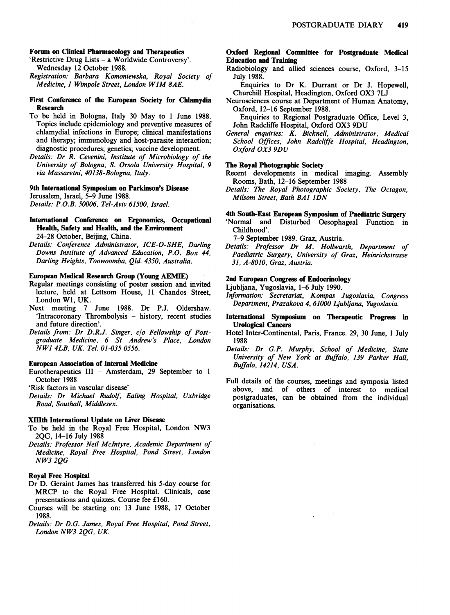# Forum on Clinical Pharmacology and Therapeutics

- 'Restrictive Drug Lists a Worldwide Controversy'. Wednesday 12 October 1988.
- Registration: Barbara Komoniewska, Royal Society of Medicine, <sup>1</sup> Wimpole Street, London WIM 8AE.

## First Conference of the European Society for Chlamydia Research

- To be held in Bologna, Italy 30 May to <sup>1</sup> June 1988. Topics include epidemiology and preventive measures of chlamydial infections in Europe; clinical manifestations and therapy; immunology and host-parasite interaction; diagnostic procedures; genetics; vaccine development.
- Details: Dr R. Cevenini, Institute of Microbiology of the University of Bologna, S. Orsola University Hospital, 9 via Massaretni, 40138-Bologna, Italy.

## 9th International Symposium on Parkinson's Disease

Jerusalem, Israel, 5-9 June 1988.

Details: P.O.B. 50006, Tel-Aviv 61500, Israel.

International Conference on Ergonomics, Occupational Health, Safety and Health, and the Environment 24-28 October, Beijing, China.

Details: Conference Administrator, ICE-O-SHE, Darling Downs Institute of Advanced Education, P.O. Box 44, Darling Heights, Toowoomba, Qld. 4350, Australia.

# European Medical Research Group (Young AEMIE)

- Regular meetings consisting of poster session and invited lecture, held at Lettsom House, 11 Chandos Street, London WI, UK.
- Next meeting 7 June 1988. Dr P.J. Oldershaw. 'Intracoronary Thrombolysis - history, recent studies and future direction'.

Details from: Dr D.R.J. Singer, c/o Fellowship of Postgraduate Medicine, 6 St Andrew's Place, London NWJ 4LB, UK. Tel. 01-035 0556.

## European Association of Internal Medicine

Eurotherapeutics III - Amsterdam, 29 September to <sup>1</sup> October 1988

'Risk factors in vascular disease'

Details: Dr Michael Rudolf, Ealing Hospital, Uxbridge Road, Southall, Middlesex.

#### XIIIth International Update on Liver Disease

- To be held in the Royal Free Hospital, London NW3 2QG, 14-16 July 1988
- Details: Professor Neil McIntyre, Academic Department of Medicine, Royal Free Hospital, Pond Street, London NW3 2QG

## Royal Free Hospital

- Dr D. Geraint James has transferred his 5-day course for MRCP to the Royal Free Hospital. Clinicals, case presentations and quizzes. Course fee £160.
- Courses will be starting on: 13 June 1988, 17 October 1988.
- Details: Dr D.G. James, Royal Free Hospital, Pond Street, London NW3 2QG, UK.

# Oxford Regional Committee for Postgraduate Medical Education and Training

- Radiobiology and allied sciences course, Oxford, 3-15 July 1988.
	- Enquiries to Dr K. Durrant or Dr J. Hopewell, Churchill Hospital, Headington, Oxford OX3 7LJ
- Neurosciences course at Department of Human Anatomy, Oxford, 12-16 September 1988.

Enquiries to Regional Postgraduate Office, Level 3, John Radcliffe Hospital, Oxford OX3 9DU

General enquiries: K. Bicknell, Administrator, Medical School Offices, John Radcliffe Hospital, Headington, Oxford OX3 9DU

#### The Royal Photographic Society

- Recent developments in medical imaging. Assembly Rooms, Bath, 12-16 September 1988
- Details: The Royal Photographic Society, The Octagon, Milsom Street, Bath BA1 IDN

# 4th South-East European Symposium of Paediatric Surgery

'Normal and Disturbed Oesophageal Function in Childhood'.

7-9 September 1989. Graz, Austria.

Details: Professor Dr M. Hollwarth, Department of Paediatric Surgery, University of Graz, Heinrichstrasse 31, A-8010, Graz, Austria.

# 2nd European Congress of Endocrinology

Liubliana, Yugoslavia, 1-6 July 1990.

- Information: Secretariat, Kompas Jugoslavia, Congress Department, Prazakova 4, 61000 Ljubljana, Yugoslavia.
- International Symposium on Therapeutic Progress in Urological Cancers
- Hotel Inter-Continental, Paris, France. 29, 30 June, <sup>1</sup> July 1988
- Details: Dr G.P. Murphy, School of Medicine, State University of New York at Buffalo, 139 Parker Hall, Buffalo, 14214, USA.
- Full details of the courses, meetings and symposia listed above, and of others of interest to medical postgraduates, can be obtained from the individual organisations.